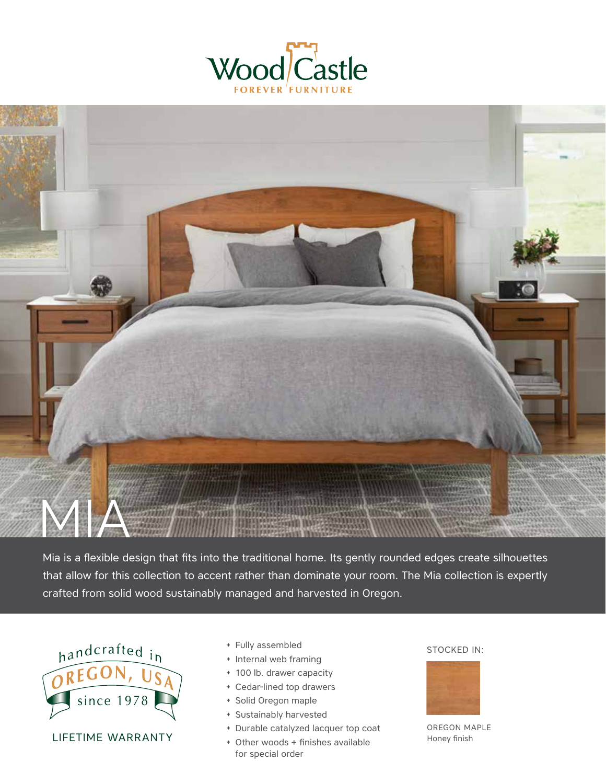



Mia is a flexible design that fits into the traditional home. Its gently rounded edges create silhouettes that allow for this collection to accent rather than dominate your room. The Mia collection is expertly crafted from solid wood sustainably managed and harvested in Oregon.



LIFETIME WARRANTY

- \* Fully assembled STOCKED IN:
- � Internal web framing
- � 100 lb. drawer capacity
- � Cedar-lined top drawers
- � Solid Oregon maple
- � Sustainably harvested
- � Durable catalyzed lacquer top coat
- � Other woods + finishes available for special order



OREGON MAPLE Honey finish